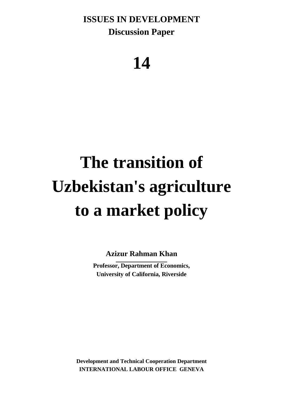**ISSUES IN DEVELOPMENT Discussion Paper**

# **14**

# **The transition of Uzbekistan's agriculture to a market policy**

**Azizur Rahman Khan**

**Professor, Department of Economics, University of California, Riverside**

**Development and Technical Cooperation Department INTERNATIONAL LABOUR OFFICE GENEVA**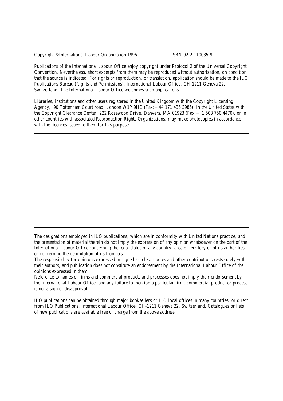Copyright © International Labour Organization 1996 ISBN 92-2-110035-9

Publications of the International Labour Office enjoy copyright under Protocol 2 of the Universal Copyright Convention. Nevertheless, short excerpts from them may be reproduced without authorization, on condition that the source is indicated. For rights or reproduction, or translation, application should be made to the ILO Publications Bureau (Rights and Permissions), International Labour Office, CH-1211 Geneva 22, Switzerland. The International Labour Office welcomes such applications.

Libraries, institutions and other users registered in the United Kingdom with the Copyright Licensing Agency, 90 Tottenham Court road, London W1P 9HE (Fax:+44 171 436 3986), in the United States with the Copyright Clearance Center, 222 Rosewood Drive, Danvers, MA 01923 (Fax:+ 1 508 750 4470), or in other countries with associated Reproduction Rights Organizations, may make photocopies in accordance with the licences issued to them for this purpose.

Reference to names of firms and commercial products and processes does not imply their endorsement by the International Labour Office, and any failure to mention a particular firm, commercial product or process is not a sign of disapproval.

ILO publications can be obtained through major booksellers or ILO local offices in many countries, or direct from ILO Publications, International Labour Office, CH-1211 Geneva 22, Switzerland. Catalogues or lists of new publications are available free of charge from the above address.

The designations employed in ILO publications, which are in conformity with United Nations practice, and the presentation of material therein do not imply the expression of any opinion whatsoever on the part of the International Labour Office concerning the legal status of any country, area or territory or of its authorities, or concerning the delimitation of its frontiers.

The responsibility for opinions expressed in signed articles, studies and other contributions rests solely with their authors, and publication does not constitute an endorsement by the International Labour Office of the opinions expressed in them.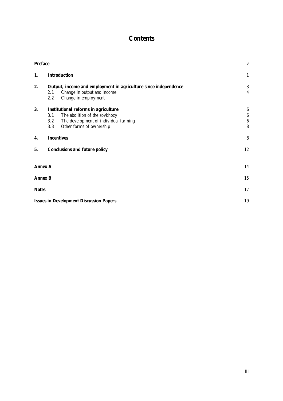# **Contents**

| <b>Preface</b> |                                                                                                                                                                        | $\mathbf{V}$                                                  |
|----------------|------------------------------------------------------------------------------------------------------------------------------------------------------------------------|---------------------------------------------------------------|
| 1.             | <b>Introduction</b>                                                                                                                                                    | $\mathbf{1}$                                                  |
| 2.             | Output, income and employment in agriculture since independence<br>Change in output and income<br>2.1<br>2.2<br>Change in employment                                   | 3<br>$\overline{4}$                                           |
| 3.             | <b>Institutional reforms in agriculture</b><br>The abolition of the sovkhozy<br>3.1<br>The development of individual farming<br>3.2<br>Other forms of ownership<br>3.3 | $\boldsymbol{6}$<br>$\boldsymbol{6}$<br>$\boldsymbol{6}$<br>8 |
| 4.             | <b>Incentives</b>                                                                                                                                                      | 8                                                             |
| 5.             | <b>Conclusions and future policy</b>                                                                                                                                   | 12                                                            |
|                | <b>Annex A</b>                                                                                                                                                         | 14                                                            |
|                | <b>Annex B</b>                                                                                                                                                         | 15                                                            |
| <b>Notes</b>   |                                                                                                                                                                        | 17                                                            |
|                | <b>Issues in Development Discussion Papers</b>                                                                                                                         | 19                                                            |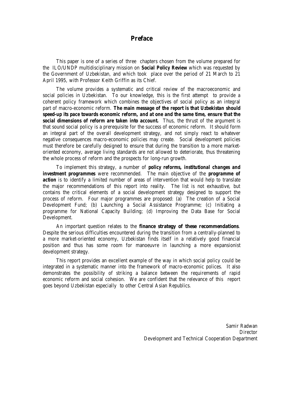### **Preface**

This paper is one of a series of three chapters chosen from the volume prepared for the ILO/UNDP multidisciplinary mission on *Social Policy Review* which was requested by the Government of Uzbekistan, and which took place over the period of 21 March to 21 April 1995, with Professor Keith Griffin as its Chief.

The volume provides a systematic and critical review of the macroeconomic and social policies in Uzbekistan. To our knowledge, this is the first attempt to provide a coherent policy framework which combines the objectives of social policy as an integral part of macro-economic reform. *The main message of the report is that Uzbekistan should speed-up its pace towards economic reform, and at one and the same time, ensure that the social dimensions of reform are taken into account.* Thus, the thrust of the argument is that sound social policy is a prerequisite for the success of economic reform. It should form an integral part of the overall development strategy, and not simply react to whatever negative consequences macro-economic policies may create. Social development policies must therefore be carefully designed to ensure that during the transition to a more marketoriented economy, average living standards are not allowed to deteriorate, thus threatening the whole process of reform and the prospects for long-run growth.

To implement this strategy, a number of *policy reforms, institutional changes and investment programmes* were recommended. The main objective of the *programme of* **action** is to identify a limited number of areas of intervention that would help to translate the major recommendations of this report into reality. The list is not exhaustive, but contains the critical elements of a social development strategy designed to support the process of reform. Four major programmes are proposed: (a) The creation of a Social Development Fund; (b) Launching a Social Assistance Programme; (c) Initiating a programme for National Capacity Building; (d) Improving the Data Base for Social Development.

An important question relates to the **finance strategy of these recommendations**. Despite the serious difficulties encountered during the transition from a centrally-planned to a more market-oriented economy, Uzbekistan finds itself in a relatively good financial position and thus has some room for manoeuvre in launching a more expansionist development strategy.

This report provides an excellent example of the way in which social policy could be integrated in a systematic manner into the framework of macro-economic polices. It also demonstrates the possibility of striking a balance between the requirements of rapid economic reform and social cohesion. We are confident that the relevance of this report goes beyond Uzbekistan especially to other Central Asian Republics.

> Samir Radwan **Director** Development and Technical Cooperation Department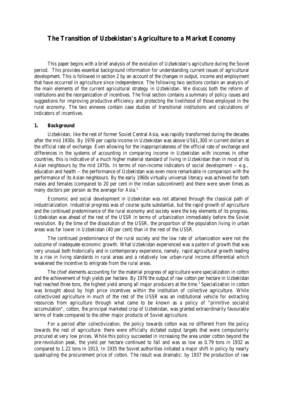# **The Transition of Uzbekistan's Agriculture to a Market Economy**

This paper begins with a brief analysis of the evolution of Uzbekistan's agriculture during the Soviet period. This provides essential background information for understanding current issues of agricultural development. This is followed in section 2 by an account of the changes in output, income and employment that have occurred in agriculture since independence. The following two sections contain an analysis of the main elements of the current agricultural strategy in Uzbekistan. We discuss both the reform of institutions and the reorganization of incentives. The final section contains a summary of policy issues and suggestions for improving productive efficiency and protecting the livelihood of those employed in the rural economy. The two annexes contain case studies of transitional institutions and calculations of indicators of incentives.

#### **1. Background**

Uzbekistan, like the rest of former Soviet Central Asia, was rapidly transformed during the decades after the mid 1930s. By 1976 per capita income in Uzbekistan was above US\$1,300 in current dollars at the official rate of exchange. Even allowing for the inappropriateness of the official rate of exchange and differences in the systems of accounting in comparing income in Uzbekistan with incomes in other countries, this is indicative of a much higher material standard of living in Uzbekistan than in most of its Asian neighbours by the mid 1970s. In terms of non-income indicators of social development -- e.g., education and health -- the performance of Uzbekistan was even more remarkable in comparison with the performance of its Asian neighbours. By the early 1960s virtually universal literacy was achieved for both males and females (compared to 20 per cent in the Indian subcontinent) and there were seven times as many doctors per person as the average for Asia.<sup>1</sup>

Economic and social development in Uzbekistan was not attained through the classical path of industrialization. Industrial progress was of course quite substantial, but the rapid growth of agriculture and the continued predominance of the rural economy and society were the key elements of its progress. Uzbekistan was ahead of the rest of the USSR in terms of urbanization immediately before the Soviet revolution. By the time of the dissolution of the USSR, the proportion of the population living in urban areas was far lower in Uzbekistan (40 per cent) than in the rest of the USSR.

The continued predominance of the rural society and the low rate of urbanization were not the outcome of inadequate economic growth. What Uzbekistan experienced was a *pattern* of growth that was very unusual both historically and in contemporary experience, namely, rapid agricultural growth leading to a rise in living standards in rural areas and a relatively low urban-rural income differential which weakened the incentive to emigrate from the rural areas.

The chief elements accounting for the material progress of agriculture were specialization in cotton and the achievement of high yields per hectare. By 1976 the output of raw cotton per hectare in Uzbekistan had reached three tons, the highest yield among all major producers at the time.<sup>2</sup> Specialization in cotton was brought about by high price incentives within the institution of collective agriculture. While collectivized agriculture in much of the rest of the USSR was an institutional vehicle for extracting resources from agriculture through what came to be known as a policy of "primitive socialist accumulation", cotton, the principal marketed crop of Uzbekistan, was granted extraordinarily favourable terms of trade compared to the other major products of Soviet agriculture.

For a period after collectivization, the policy towards cotton was no different from the policy towards the rest of agriculture: there were officially dictated output targets that were compulsorily procured at very low prices. While this policy succeeded in increasing the area under cotton beyond the pre-revolution peak, the yield per hectare continued to fall and was as low as 0.79 tons in 1932 as compared to 1.22 tons in 1913. In 1935 the Soviet authorities initiated a major shift in policy by nearly quadrupling the procurement price of cotton. The result was dramatic: by 1937 the production of raw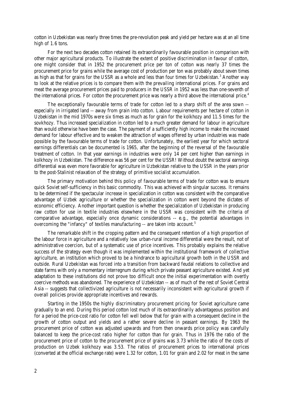cotton in Uzbekistan was nearly three times the pre-revolution peak and yield per hectare was at an all time high of 1.6 tons.

For the next two decades cotton retained its extraordinarily favourable position in comparison with other major agricultural products. To illustrate the extent of positive discrimination in favour of cotton, one might consider that in 1952 the procurement price per ton of cotton was nearly 37 times the procurement price for grains while the average cost of production per ton was probably about seven times as high as that for grains for the USSR as a whole and less than four times for Uzbekistan.<sup>3</sup> Another way to look at the relative prices is to compare them with the prevailing international prices. For grains and meat the average procurement prices paid to producers in the USSR in 1952 was less than one-seventh of the international prices. For cotton the procurement price was nearly a third above the international price.<sup>4</sup>

The exceptionally favourable terms of trade for cotton led to a sharp shift of the area sown - especially in irrigated land -- away from grain into cotton. Labour requirements per hectare of cotton in Uzbekistan in the mid 1970s were six times as much as for grain for the kolkhozy and 11.5 times for the sovkhozy. Thus increased specialization in cotton led to a much greater demand for labour in agriculture than would otherwise have been the case. The payment of a sufficiently high income to make the increased demand for labour effective and to weaken the attraction of wages offered by urban industries was made possible by the favourable terms of trade for cotton. Unfortunately, the earliest year for which sectoral earnings differentials can be documented is 1965, after the beginning of the reversal of the favourable treatment of cotton. In that year earnings in industries were only 14 per cent higher than earnings in kolkhozy in Uzbekistan. The difference was 56 per cent for the USSR! Without doubt the sectoral earnings differential was even more favorable for agriculture in Uzbekistan relative to the USSR in the years prior to the post-Stalinist relaxation of the strategy of primitive socialist accumulation.

The primary motivation behind this policy of favourable terms of trade for cotton was to ensure quick Soviet self-sufficiency in this basic commodity. This was achieved with singular success. It remains to be determined if the spectacular increase in specialization in cotton was consistent with the comparative advantage of Uzbek agriculture or whether the specialization in cotton went beyond the dictates of economic efficiency. Another important question is whether the specialization of Uzbekistan in producing raw cotton for use in textile industries elsewhere in the USSR was consistent with the criteria of comparative advantage, especially once dynamic considerations -- e.g., the potential advantages in overcoming the "infancy" of textiles manufacturing -- are taken into account.<sup>5</sup>

The remarkable shift in the cropping pattern and the consequent retention of a high proportion of the labour force in agriculture and a relatively low urban-rural income differential were the result, not of administrative coercion, but of a systematic use of price incentives. This probably explains the relative success of the strategy even though it was implemented within the institutional framework of collective agriculture, an institution which proved to be a hindrance to agricultural growth both in the USSR and outside. Rural Uzbekistan was forced into a transition from backward feudal relations to collective and state farms with only a momentary interregnum during which private peasant agriculture existed. And yet adaptation to these institutions did not prove too difficult once the initial experimentation with overtly coercive methods was abandoned. The experience of Uzbekistan -- as of much of the rest of Soviet Central Asia -- suggests that collectivized agriculture is not necessarily inconsistent with agricultural growth if overall policies provide appropriate incentives and rewards.

Starting in the 1950s the highly discriminatory procurement pricing for Soviet agriculture came gradually to an end. During this period cotton lost much of its extraordinarily advantageous position and for a period the price-cost ratio for cotton fell well below that for grain with a consequent decline in the growth of cotton output and yields and a rather severe decline in peasant earnings. By 1963 the procurement price of cotton was adjusted upwards and from then onwards price policy was carefully balanced to keep the price-cost ratio higher for cotton than for grain. Thus in 1976 the ratio of the procurement price of cotton to the procurement price of grains was 3.73 while the ratio of the costs of production on Uzbek kolkhozy was 3.53. The ratios of procurement prices to international prices (converted at the official exchange rate) were 1.32 for cotton, 1.01 for grain and 2.02 for meat in the same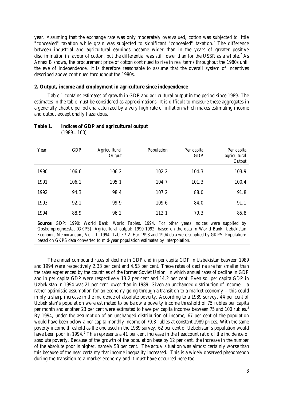year. Assuming that the exchange rate was only moderately overvalued, cotton was subjected to little "concealed" taxation while grain was subjected to significant "concealed" taxation.<sup>6</sup> The difference between industrial and agricultural earnings became wider than in the years of greater positive discrimination in favour of cotton, but the differential was still lower than for the USSR as a whole.<sup>7</sup> As Annex B shows, the procurement price of cotton continued to rise in real terms throughout the 1980s until the eve of independence. It is therefore reasonable to assume that the overall system of incentives described above continued throughout the 1980s.

#### **2. Output, income and employment in agriculture since independence**

Table 1 contains estimates of growth in GDP and agricultural output in the period since 1989. The estimates in the table must be considered as approximations. It is difficult to measure these aggregates in a generally chaotic period characterized by a very high rate of inflation which makes estimating income and output exceptionally hazardous.

| Year | <b>GDP</b> | Agriculltural<br>Output | Population | Per capita<br><b>GDP</b> | Per capita<br>agricultural<br>Output |
|------|------------|-------------------------|------------|--------------------------|--------------------------------------|
| 1990 | 106.6      | 106.2                   | 102.2      | 104.3                    | 103.9                                |
| 1991 | 106.1      | 105.1                   | 104.7      | 101.3                    | 100.4                                |
| 1992 | 94.3       | 98.4                    | 107.2      | 88.0                     | 91.8                                 |
| 1993 | 92.1       | 99.9                    | 109.6      | 84.0                     | 91.1                                 |
| 1994 | 88.9       | 96.2                    | 112.1      | 79.3                     | 85.8                                 |

#### **Table 1. Indices of GDP and agricultural output**  $(1989=100)$

**Source**: GDP: 1990: World Bank, *World Tables*, 1994. For other years indices were supplied by Goskomprognozstat (GKPS). Agricultural output: 1990-1992: based on the data in World Bank, *Uzbekistan Economic Memorandum*, Vol. II, 1994, Table 7-2. For 1993 and 1994 data were supplied by GKPS. Population: based on GKPS data converted to mid-year population estimates by interpolation.

The annual compound rates of decline in GDP and in per capita GDP in Uzbekistan between 1989 and 1994 were respectively 2.33 per cent and 4.53 per cent. These rates of decline are far smaller than the rates experienced by the countries of the former Soviet Union, in which annual rates of decline in GDP and in per capita GDP were respectively 13.2 per cent and 14.2 per cent. Even so, per capita GDP in Uzbekistan in 1994 was 21 per cent lower than in 1989. Given an unchanged distribution of income -- a rather optimistic assumption for an economy going through a transition to a market economy -- this could imply a sharp increase in the incidence of absolute poverty. According to a 1989 survey, 44 per cent of Uzbekistan's population were estimated to be below a poverty income threshold of 75 rubles per capita per month and another 23 per cent were estimated to have per capita incomes between 75 and 100 rubles.<sup>8</sup> By 1994, under the assumption of an unchanged distribution of income, 67 per cent of the population would have been below a per capita monthly income of 79.3 rubles at constant 1989 prices. With the same poverty income threshold as the one used in the 1989 survey, 62 per cent of Uzbekistan's population would have been poor in 1994.<sup>9</sup> This represents a 41 per cent increase in the headcount *ratio* of the incidence of absolute poverty. Because of the growth of the population base by 12 per cent, the increase in the *number* of the absolute poor is higher, namely 58 per cent. The actual situation was almost certainly worse than this because of the near certainty that income inequality increased. This is a widely observed phenomenon during the transition to a market economy and it must have occurred here too.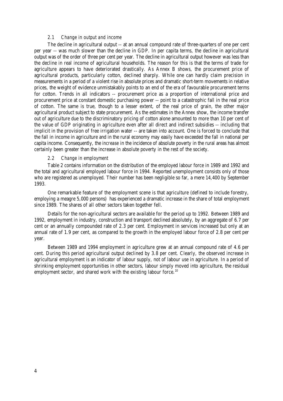#### *2.1 Change in output and income*

The decline in agricultural output -- at an annual compound rate of three-quarters of one per cent per year -- was much slower than the decline in GDP. In per capita terms, the decline in agricultural output was of the order of three per cent per year. The decline in agricultural output however was less than the decline in real income of agricultural households. The reason for this is that the terms of trade for agriculture appears to have deteriorated drastically. As Annex B shows, the procurement price of agricultural products, particularly cotton, declined sharply. While one can hardly claim precision in measurements in a period of a violent rise in absolute prices and dramatic short-term movements in relative prices, the weight of evidence unmistakably points to an end of the era of favourable procurement terms for cotton. Trends in all indicators -- procurement price as a proportion of international price and procurement price at constant domestic purchasing power -- point to a catastrophic fall in the real price of cotton. The same is true, though to a lesser extent, of the real price of grain, the other major agricultural product subject to state procurement. As the estimates in the Annex show, the income transfer out of agriculture due to the discriminatory pricing of cotton alone amounted to more than 10 per cent of the value of GDP originating in agriculture even after all direct and indirect subsidies -- including that implicit in the provision of free irrigation water -- are taken into account. One is forced to conclude that the fall in income in agriculture and in the rural economy may easily have exceeded the fall in national per capita income. Consequently, the *increase* in the incidence of absolute poverty in the rural areas has almost certainly been greater than the increase in absolute poverty in the rest of the society.

#### *2.2 Change in employment*

Table 2 contains information on the distribution of the employed labour force in 1989 and 1992 and the total and agricultural employed labour force in 1994. Reported unemployment consists only of those who are registered as unemployed. Their number has been negligible so far, a mere 14,400 by September 1993.

One remarkable feature of the employment scene is that agriculture (defined to include forestry, employing a meagre 5,000 persons) has experienced a dramatic increase in the share of total employment since 1989. The shares of all other sectors taken together fell.

Details for the non-agricultural sectors are available for the period up to 1992. Between 1989 and 1992, employment in industry, construction and transport declined absolutely, by an aggregate of 6.7 per cent or an annually compounded rate of 2.3 per cent. Employment in services increased but only at an annual rate of 1.9 per cent, as compared to the growth in the employed labour force of 2.8 per cent per year.

Between 1989 and 1994 employment in agriculture grew at an annual compound rate of 4.6 per cent. During this period agricultural output declined by 3.8 per cent. Clearly, the observed increase in agricultural employment is an indicator of labour supply, not of labour use in agriculture. In a period of shrinking employment opportunities in other sectors, labour simply moved into agriculture, the residual employment sector, and shared work with the existing labour force.<sup>10</sup>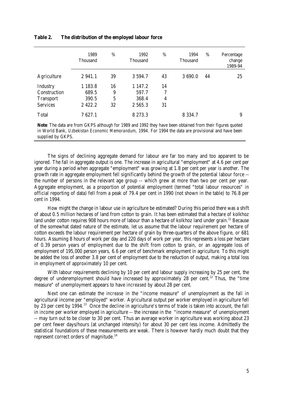|                  | 1989<br>Thousand | %  | 1992<br><b>Thousand</b> | %  | 1994<br><b>Thousand</b> | %  | Percentage<br>change<br>1989-94 |
|------------------|------------------|----|-------------------------|----|-------------------------|----|---------------------------------|
| Agriculture      | 2 941.1          | 39 | 3 5 9 4 . 7             | 43 | 3 690.0                 | 44 | 25                              |
| Industry         | 1 183.8          | 16 | 1 147.2                 | 14 |                         |    |                                 |
| Construction     | 689.5            | 9  | 597.7                   | 7  |                         |    |                                 |
| <b>Transport</b> | 390.5            | 5  | 368.4                   | 4  |                         |    |                                 |
| <b>Services</b>  | 2 4 2 2 . 2      | 32 | 2 565.3                 | 31 |                         |    |                                 |
| Total            | 7627.1           |    | 8 273.3                 |    | 8 3 3 4 . 7             |    | 9                               |

#### **Table 2. The distribution of the employed labour force**

**Note**: The data are from GKPS although for 1989 and 1992 they have been obtained from their figures quoted in World Bank, *Uzbekistan Economic Memorandum*, 1994. For 1994 the data are provisional and have been supplied by GKPS.

The signs of declining aggregate demand for labour are far too many and too apparent to be ignored. The fall in aggregate output is one. The increase in agricultural "employment" at 4.6 per cent per year during a period when aggregate "employment" was growing at 1.8 per cent per year is another. The growth rate in aggregate employment fell significantly behind the growth of the potential labour force - the number of persons in the relevant age group -- which grew at more than two per cent per year. Aggregate employment, as a proportion of potential employment (termed "total labour resources" in official reporting of data) fell from a peak of 79.4 per cent in 1990 (not shown in the table) to 76.8 per cent in 1994.

How might the change in labour use in agriculture be estimated? During this period there was a shift of about 0.5 million hectares of land from cotton to grain. It has been estimated that a hectare of kolkhoz land under cotton requires 908 hours more of labour than a hectare of kolkhoz land under grain.<sup>11</sup> Because of the somewhat dated nature of the estimate, let us assume that the labour requirement per hectare of cotton exceeds the labour requirement per hectare of grain by three-quarters of the above figure, or 681 hours. Assuming 8 hours of work per day and 220 days of work per year, this represents a loss per hectare of 0.39 person years of employment due to the shift from cotton to grain, or an aggregate loss of employment of 195,000 person years, 6.6 per cent of benchmark employment in agriculture. To this might be added the loss of another 3.8 per cent of employment due to the reduction of output, making a total loss in employment of approximately 10 per cent.

With labour requirements declining by 10 per cent and labour supply increasing by 25 per cent, the degree of underemployment should have increased by approximately 28 per cent.<sup>12</sup> Thus, the "time" measure" of unemployment appears to have *increased* by about 28 per cent.

Next one can estimate the *increase* in the "income measure" of unemployment as the fall in agricultural income per "employed" worker. Agricultural output per worker employed in agriculture fell by 23 per cent by 1994.<sup>13</sup> Once the decline in agriculture's terms of trade is taken into account, the fall in *income* per worker employed in agriculture -- the increase in the "income measure" of unemployment -- may turn out to be closer to 30 per cent. Thus an average worker in agriculture was working about 23 per cent fewer days/hours (at unchanged intensity) for about 30 per cent less income. Admittedly the statistical foundations of these measurements are weak. There is however hardly much doubt that they represent correct orders of magnitude.<sup>14</sup>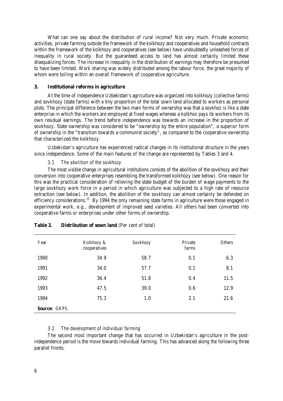What can one say about the distribution of rural income? Not very much. Private economic activities, private farming outside the framework of the kolkhozy and cooperatives and household contracts within the framework of the kolkhozy and cooperatives (see below) have undoubtedly unleashed forces of inequality in rural society. But the guaranteed access to land has almost certainly limited these disequalizing forces. The increase in inequality in the distribution of earnings may therefore be presumed to have been limited. Work sharing was widely distributed among the labour force, the great majority of whom were toiling within an overall framework of cooperative agriculture.

#### **3. Institutional reforms in agriculture**

At the time of independence Uzbekistan's agriculture was organized into kolkhozy (collective farms) and sovkhozy (state farms) with a tiny proportion of the total sown land allocated to workers as personal plots. The principal difference between the two main forms of ownership was that a sovkhoz is like a state enterprise in which the workers are employed at fixed wages whereas a kolkhoz pays its workers from its own residual earnings. The trend before independence was towards an increase in the proportion of sovkhozy. State ownership was considered to be "ownership by the entire population", a superior form of ownership in the "transition towards a communist society", as compared to the cooperative ownership that characterized the kolkhozy.

Uzbekistan's agriculture has experienced radical changes in its institutional structure in the years since independence. Some of the main features of the change are represented by Tables 3 and 4.

#### *3.1 The abolition of the sovkhozy*

The most visible change in agricultural institutions consists of the abolition of the sovkhozy and their conversion into cooperative enterprises resembling the transformed kolkhozy (see below). One reason for this was the practical consideration of relieving the state budget of the burden of wage payments to the large sovkhozy work force in a period in which agriculture was subjected to a high rate of resource extraction (see below). In addition, the abolition of the sovkhozy can almost certainly be defended on efficiency considerations.<sup>15</sup> By 1994 the only remaining state farms in agriculture were those engaged in experimental work, e.g., development of improved seed varieties. All others had been converted into cooperative farms or enterprises under other forms of ownership.

| Year          | Kolkhozy &<br>cooperatives | Sovkhozy | Private<br>farms | <b>Others</b> |  |  |
|---------------|----------------------------|----------|------------------|---------------|--|--|
| 1990          | 34.9                       | 58.7     | 0.1              | 6.3           |  |  |
| 1991          | 34.0                       | 57.7     | 0.1              | 8.1           |  |  |
| 1992          | 36.4                       | 51.8     | 0.4              | 11.5          |  |  |
| 1993          | 47.5                       | 39.0     | 0.6              | 12.9          |  |  |
| 1994          | 75.3                       | 1.0      | 2.1              | 21.6          |  |  |
| Source: GKPS. |                            |          |                  |               |  |  |

#### **Table 3. Distribution of sown land** (Per cent of total)

#### *3.2 The development of individual farming*

The second most important change that has occurred in Uzbekistan's agriculture in the postindependence period is the move towards individual farming. This has advanced along the following three parallel fronts: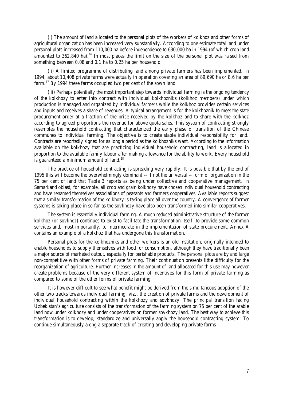(i) The amount of land allocated to the personal plots of the workers of kolkhoz and other forms of agricultural organization has been increased very substantially. According to one estimate total land under personal plots increased from 110,000 ha before independence to 630,000 ha in 1994 (of which crop land amounted to  $362,840$  ha).<sup>16</sup> In most places the limit on the size of the personal plot was raised from something between 0.08 and 0.1 ha to 0.25 ha per household.

(ii) A limited programme of distributing land among private farmers has been implemented. In 1994, about 10,408 private farms were actually in operation covering an area of 89,690 ha or 8.6 ha per farm.<sup>17</sup> By 1994 these farms occupied two per cent of the sown land.

(iii) Perhaps potentially the most important step towards individual farming is the ongoing tendency of the kolkhozy to enter into contract with individual kolkhozniks (kolkhoz members) under which production is managed and organized by individual farmers while the kolkhoz provides certain services and inputs and receives a share of revenues. A typical arrangement is for the kolkhoznik to meet the state procurement order at a fraction of the price received by the kolkhoz and to share with the kolkhoz according to agreed proportions the revenue for above quota sales. This system of contracting strongly resembles the household contracting that characterized the early phase of transition of the Chinese communes to individual farming. The objective is to create stable individual responsibility for land. Contracts are reportedly signed for as long a period as the kolkhozniks want. According to the information available on the kolkhozy that are practicing individual household contracting, land is allocated in proportion to the available family labour after making allowance for the ability to work. Every household is guaranteed a minimum amount of land.<sup>18</sup>

The practice of household contracting is spreading very rapidly. It is possible that by the end of 1995 this will become the overwhelmingly dominant -- if not the universal -- form of organization in the 75 per cent of land that Table 3 reports as being under collective and cooperative management. In Samarkand oblast, for example, all crop and grain kolkhozy have chosen individual household contracting and have renamed themselves associations of peasants and farmers cooperatives. Available reports suggest that a similar transformation of the kolkhozy is taking place all over the country. A convergence of former systems is taking place in so far as the sovkhozy have also been transformed into similar cooperatives.

The system is essentially individual farming. A much reduced administrative structure of the former kolkhoz (or sovkhoz) continues to exist to facilitate the transformation itself, to provide some common services and, most importantly, to intermediate in the implementation of state procurement. Annex A contains an example of a kolkhoz that has undergone this transformation.

Personal plots for the kolkhozniks and other workers is an old institution, originally intended to enable households to supply themselves with food for consumption, although they have traditionally been a major source of marketed output, especially for perishable products. The personal plots are by and large non-competitive with other forms of private farming. Their continuation presents little difficulty for the reorganization of agriculture. Further increases in the amount of land allocated for this use may however create problems because of the very different system of incentives for this form of private farming as compared to some of the other forms of private farming.

It is however difficult to see what benefit might be derived from the simultaneous adoption of the other two tracks towards individual farming, viz., the creation of private farms and the development of individual household contracting within the kolkhozy and sovkhozy. The principal transition facing Uzbekistan's agriculture consists of the transformation of the farming system on 75 per cent of the arable land now under kolkhozy and under cooperatives on former sovkhozy land. The best way to achieve this transformation is to develop, standardize and universally apply the household contracting system. To continue simultaneously along a separate track of creating and developing private farms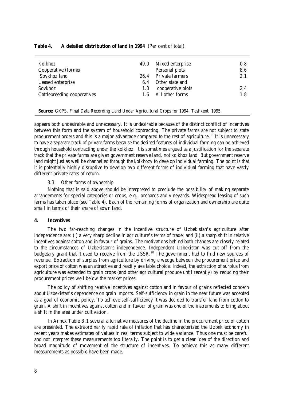| Kolkhoz                     | 49.0 | Mixed enterprise       | 0.8 |
|-----------------------------|------|------------------------|-----|
| Cooperative (former         |      | Personal plots         | 8.6 |
| Sovkhoz land                | 26.4 | <b>Private farmers</b> | 2.1 |
| Leased enterprise           | 6.4  | Other state and        |     |
| <b>Sovkhoz</b>              | 1.0  | cooperative plots      | 2.4 |
| Cattlebreeding cooperatives | 1.6  | All other forms        | 1.8 |
|                             |      |                        |     |

#### **Table 4. A detailed distribution of land in 1994** (Per cent of total)

**Source:** GKPS, Final Data Recording Land Under Agricultural Crops for 1994, Tashkent, 1995.

appears both undesirable and unnecessary. It is undesirable because of the distinct conflict of incentives between this form and the system of household contracting. The private farms are not subject to state procurement orders and this is a major advantage compared to the rest of agriculture.<sup>19</sup> It is unnecessary to have a separate track of private farms because the desired features of individual farming can be achieved through household contracting under the kolkhoz. It is sometimes argued as a justification for the separate track that the private farms are given government reserve land, not kolkhoz land. But government reserve land might just as well be channelled through the kolkhozy to develop individual farming. The point is that it is potentially highly disruptive to develop two different forms of individual farming that have vastly different private rates of return.

#### *3.3 Other forms of ownership*

Nothing that is said above should be interpreted to preclude the possibility of making separate arrangements for special categories or crops, e.g., orchards and vineyards. Widespread leasing of such farms has taken place (see Table 4). Each of the remaining forms of organization and ownership are quite small in terms of their share of sown land.

#### **4. Incentives**

The two far-reaching changes in the incentive structure of Uzbekistan's agriculture after independence are: (i) a very sharp decline in agriculture's terms of trade; and (ii) a sharp shift in relative incentives against cotton and in favour of grains. The motivations behind both changes are closely related to the circumstances of Uzbekistan's independence. Independent Uzbekistan was cut off from the budgetary grant that it used to receive from the USSR.<sup>20</sup> The government had to find new sources of revenue. Extraction of surplus from agriculture by driving a wedge between the procurement price and export price of cotton was an attractive and readily available choice. Indeed, the extraction of surplus from agriculture was extended to grain crops (and other agricultural produce until recently) by reducing their procurement prices well below the market prices.

The policy of shifting relative incentives against cotton and in favour of grains reflected concern about Uzbekistan's dependence on grain imports. Self-sufficiency in grain in the near future was accepted as a goal of economic policy. To achieve self-sufficiency it was decided to transfer land from cotton to grain. A shift in incentives against cotton and in favour of grain was one of the instruments to bring about a shift in the area under cultivation.

In Annex Table B.1 several alternative measures of the decline in the procurement price of cotton are presented. The extraordinarily rapid rate of inflation that has characterized the Uzbek economy in recent years makes estimates of values in real terms subject to wide variance. Thus one must be careful and not interpret these measurements too literally. The point is to get a clear idea of the direction and broad magnitude of movement of the structure of incentives. To achieve this as many different measurements as possible have been made.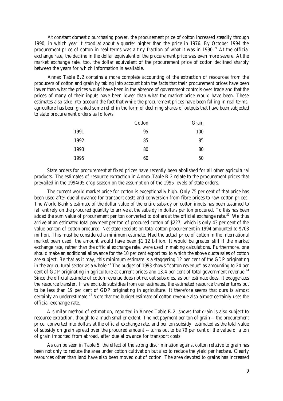At constant domestic purchasing power, the procurement price of cotton increased steadily through 1990, in which year it stood at about a quarter higher than the price in 1976. By October 1994 the procurement price of cotton in real terms was a tiny fraction of what it was in  $1990.<sup>21</sup>$  At the official exchange rate, the decline in the dollar equivalent of the procurement price was even more severe. At the market exchange rate, too, the dollar equivalent of the procurement price of cotton declined sharply between the years for which information is available.

Annex Table B.2 contains a more complete accounting of the extraction of resources from the producers of cotton and grain by taking into account both the facts that their procurement prices have been lower than what the prices would have been in the absence of government controls over trade and that the prices of many of their inputs have been lower than what the market price would have been. These estimates also take into account the fact that while the procurement prices have been falling in real terms, agriculture has been granted some relief in the form of declining shares of outputs that have been subjected to state procurement orders as follows:

|      | Cotton | Grain |
|------|--------|-------|
| 1991 | 95     | 100   |
| 1992 | 85     | 85    |
| 1993 | 80     | 80    |
| 1995 | 60     | 50    |

State orders for procurement at fixed prices have recently been abolished for all other agricultural products. The estimates of resource extraction in Annex Table B.2 relate to the procurement prices that prevailed in the 1994/95 crop season on the assumption of the 1995 levels of state orders.

The current world market price for cotton is exceptionally high. Only 75 per cent of that price has been used after due allowance for transport costs and conversion from fibre prices to raw cotton prices. The World Bank's estimate of the *dollar value* of the entire subsidy on cotton inputs has been assumed to fall entirely on the procured quantity to arrive at the subsidy in dollars per ton procured. To this has been added the sum value of procurement per ton converted to dollars at the official exchange rate.<sup>22</sup> We thus arrive at an estimated total payment per ton of procured cotton of \$227, which is only 43 per cent of the value per ton of cotton procured. Net state receipts on total cotton procurement in 1994 amounted to \$703 million. This must be considered a minimum estimate. Had the actual price of cotton in the international market been used, the amount would have been \$1.12 billion. It would be greater still if the market exchange rate, rather than the official exchange rate, were used in making calculations. Furthermore, one should make an additional allowance for the 10 per cent export tax to which the above quota sales of cotton are subject. Be that as it may, this minimum estimate is a staggering 12 per cent of the GDP originating in the agricultural sector as a whole.<sup>23</sup> The budget of 1993 shows "cotton revenue" as amounting to 24 per cent of GDP originating in agriculture at current prices and 13.4 per cent of total government revenue.<sup>24</sup> Since the official estimate of cotton revenue does not net out subsidies, as our estimate does, it exaggerates the resource transfer. If we exclude subsidies from our estimates, the estimated resource transfer turns out to be less than 19 per cent of GDP originating in agriculture. It therefore seems that ours is almost certainly an underestimate.<sup>25</sup> Note that the budget estimate of cotton revenue also almost certainly uses the official exchange rate.

A similar method of estimation, reported in Annex Table B.2, shows that grain is also subject to resource extraction, though to a much smaller extent. The net payment per ton of grain -- the procurement price, converted into dollars at the official exchange rate, and per ton subsidy, estimated as the total value of subsidy on grain spread over the procured amount -- turns out to be 79 per cent of the value of a ton of grain imported from abroad, after due allowance for transport costs.

As can be seen in Table 5, the effect of the strong discrimination against cotton relative to grain has been not only to reduce the area under cotton cultivation but also to reduce the yield per hectare. Clearly resources other than land have also been moved out of cotton. The area devoted to grains has increased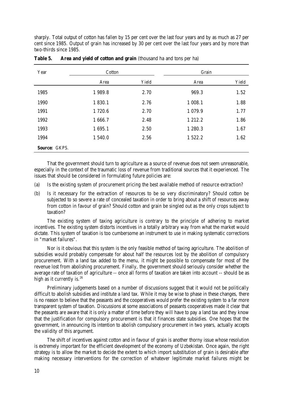sharply. Total output of cotton has fallen by 15 per cent over the last four years and by as much as 27 per cent since 1985. Output of grain has increased by 30 per cent over the last four years and by more than two-thirds since 1985.

| Year                 | Cotton  |       | Grain       |       |  |
|----------------------|---------|-------|-------------|-------|--|
|                      | Area    | Yield | Area        | Yield |  |
| 1985                 | 1989.8  | 2.70  | 969.3       | 1.52  |  |
| 1990                 | 1 830.1 | 2.76  | 1 008.1     | 1.88  |  |
| 1991                 | 1720.6  | 2.70  | 1 0 7 9 . 9 | 1.77  |  |
| 1992                 | 1666.7  | 2.48  | 1 2 1 2 . 2 | 1.86  |  |
| 1993                 | 1 695.1 | 2.50  | 1 280.3     | 1.67  |  |
| 1994                 | 1540.0  | 2.56  | 1 522.2     | 1.62  |  |
| <b>Source: GKPS.</b> |         |       |             |       |  |

| Table 5. |  | <b>Area and yield of cotton and grain</b> (thousand ha and tons per ha) |  |  |  |  |
|----------|--|-------------------------------------------------------------------------|--|--|--|--|
|----------|--|-------------------------------------------------------------------------|--|--|--|--|

That the government should turn to agriculture as a source of revenue does not seem unreasonable, especially in the context of the traumatic loss of revenue from traditional sources that it experienced. The issues that should be considered in formulating future policies are:

- (a) Is the existing system of procurement pricing the best available method of resource extraction?
- (b) Is it necessary for the extraction of resources to be so very discriminatory? Should cotton be subjected to so severe a rate of concealed taxation in order to bring about a shift of resources away from cotton in favour of grain? Should cotton and grain be singled out as the only crops subject to taxation?

The existing system of taxing agriculture is contrary to the principle of adhering to market incentives. The existing system distorts incentives in a totally arbitrary way from what the market would dictate. This system of taxation is too cumbersome an instrument to use in making systematic corrections in "market failures".

Nor is it obvious that this system is the only feasible method of taxing agriculture. The abolition of subsidies would probably compensate for about half the resources lost by the abolition of compulsory procurement. With a land tax added to the menu, it might be possible to compensate for most of the revenue lost from abolishing procurement. Finally, the government should seriously consider whether the average rate of taxation of agriculture -- once all forms of taxation are taken into account -- should be as high as it currently is. $26$ 

Preliminary judgements based on a number of discussions suggest that it would not be politically difficult to abolish subsidies and institute a land tax. While it may be wise to phase in these changes, there is no reason to believe that the peasants and the cooperatives would prefer the existing system to a far more transparent system of taxation. Discussions at some associations of peasants cooperatives made it clear that the peasants are aware that it is only a matter of time before they will have to pay a land tax and they know that the justification for compulsory procurement is that it finances state subsidies. One hopes that the government, in announcing its intention to abolish compulsory procurement in two years, actually accepts the validity of this argument.

The shift of incentives against cotton and in favour of grain is another thorny issue whose resolution is extremely important for the efficient development of the economy of Uzbekistan. Once again, the right strategy is to allow the market to decide the extent to which import substitution of grain is desirable after making necessary interventions for the correction of whatever legitimate market failures might be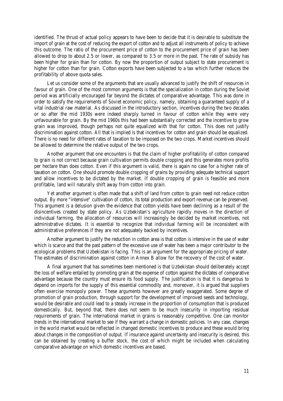identified. The thrust of actual policy appears to have been to decide that it is desirable to substitute the import of grain at the cost of reducing the export of cotton and to adjust all instruments of policy to achieve this outcome. The ratio of the procurement price of cotton to the procurement price of grain has been allowed to drop to about 2.5 or lower, as compared to 3.5 or more in the past. The rate of subsidy has been higher for grain than for cotton. By now the proportion of output subject to state procurement is higher for cotton than for grain. Cotton exports have been subjected to a tax which further reduces the profitability of above quota sales.

Let us consider some of the arguments that are usually advanced to justify the shift of resources in favour of grain. One of the most common arguments is that the specialization in cotton during the Soviet period was artificially encouraged far beyond the dictates of comparative advantage. This was done in order to satisfy the requirements of Soviet economic policy, namely, obtaining a guaranteed supply of a vital industrial raw material. As discussed in the introductory section, incentives during the two decades or so after the mid 1930s were indeed sharply turned in favour of cotton while they were very unfavourable for grain. By the mid 1960s this had been substantially corrected and the incentive to grow grain was improved, though perhaps not quite equalized with that for cotton. This does not justify discrimination against cotton. All that is implied is that incentives for cotton and grain should be equalized. There is no need for different rates of taxation to be imposed on the two crops. Market incentives should be allowed to determine the relative output of the two crops.

Another argument that one encounters is that the claim of higher profitability of cotton compared to grain is not correct because grain cultivation permits double cropping and this generates more profits per hectare than does cotton. Even if this argument is valid, there is again no case for a higher rate of taxation on cotton. One should promote double cropping of grains by providing adequate technical support and allow incentives to be dictated by the market. If double cropping of grain is feasible and more profitable, land will naturally shift away from cotton into grain.

Yet another argument is often made that a shift of land from cotton to grain need not reduce cotton output. By more "intensive" cultivation of cotton, its total production and export revenue can be preserved. This argument is a delusion given the evidence that cotton yields have been declining as a result of the disincentives created by state policy. As Uzbekistan's agriculture rapidly moves in the direction of individual farming, the allocation of resources will increasingly be decided by market incentives, not administrative dictates. It is essential to recognize that individual farming will be inconsistent with administrative preferences if they are not adequately backed by incentives.

Another argument to justify the reduction in cotton area is that cotton is intensive in the use of water which is scarce and that the past pattern of the excessive use of water has been a major contributor to the ecological problems that Uzbekistan is facing. This is an argument for the appropriate pricing of water. The estimates of discrimination against cotton in Annex B allow for the recovery of the cost of water.

A final argument that has sometimes been mentioned is that Uzbekistan should deliberately accept the loss of welfare entailed by promoting grain at the expense of cotton against the dictates of comparative advantage because the country must ensure its food supply. The justification is that it is dangerous to depend on imports for the supply of this essential commodity and, moreover, it is argued that suppliers often exercise monopoly power. These arguments however are greatly exaggerated. Some degree of promotion of grain production, through support for the development of improved seeds and technology, would be desirable and could lead to a steady increase in the proportion of consumption that is produced domestically. But, beyond that, there does not seem to be much insecurity in importing residual requirements of grain. The international market in grains is reasonably competitive. One can monitor trends in the international market to see if they warrant a change in domestic policies. In any case, changes in the world market would be reflected in changed domestic incentives to produce and these would bring about changes in the composition of output. If insurance against uncertainty and insecurity is desired, this can be obtained by creating a buffer stock, the cost of which might be included when calculating comparative advantage on which domestic incentives are based.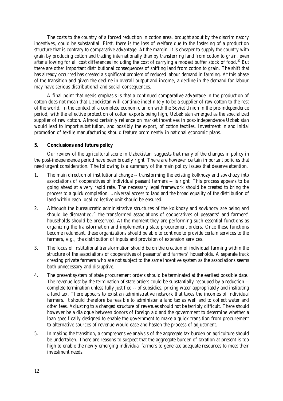The costs to the country of a forced reduction in cotton area, brought about by the discriminatory incentives, could be substantial. First, there is the loss of welfare due to the fostering of a production structure that is contrary to comparative advantage. At the margin, it is cheaper to supply the country with grain by producing cotton and trading internationally than by transferring land from cotton to grain, even after allowing for all cost differences including the cost of carrying a modest buffer stock of food.<sup>27</sup> But there are other important distributional consequences of shifting land from cotton to grain. The shift that has already occurred has created a significant problem of reduced labour demand in farming. At this phase of the transition and given the decline in overall output and income, a decline in the demand for labour may have serious distributional and social consequences.

A final point that needs emphasis is that a continued comparative advantage in the production of cotton does not mean that Uzbekistan will continue indefinitely to be a supplier of raw cotton to the rest of the world. In the context of a complete economic union with the Soviet Union in the pre-independence period, with the effective protection of cotton exports being high, Uzbekistan emerged as the specialized supplier of raw cotton. Almost certainly reliance on market incentives in post-independence Uzbekistan would lead to import substitution, and possibly the export, of cotton textiles. Investment in and initial promotion of textile manufacturing should feature prominently in national economic plans.

#### **5. Conclusions and future policy**

Our review of the agricultural scene in Uzbekistan suggests that many of the changes in policy in the post-independence period have been broadly right. There are however certain important policies that need urgent consideration. The following is a summary of the main policy issues that deserve attention.

- 1. The main direction of institutional change -- transforming the existing kolkhozy and sovkhozy into associations of cooperatives of individual peasant farmers -- is right. This process appears to be going ahead at a very rapid rate. The necessary legal framework should be created to bring the process to a quick completion. Universal access to land and the broad equality of the distribution of land within each local collective unit should be ensured.
- 2. Although the bureaucratic administrative structures of the kolkhozy and sovkhozy are being and should be dismantled,<sup>28</sup> the transformed associations of cooperatives of peasants' and farmers' households should be preserved. At the moment they are performing such essential functions as organizing the transformation and implementing state procurement orders. Once these functions become redundant, these organizations should be able to continue to provide certain services to the farmers, e.g., the distribution of inputs and provision of extension services.
- 3. The focus of institutional transformation should be on the creation of individual farming within the structure of the associations of cooperatives of peasants' and farmers' households. A separate track creating private farmers who are not subject to the same incentive system as the associations seems both unnecessary and disruptive.
- 4. The present system of state procurement orders should be terminated at the earliest possible date. The revenue lost by the termination of state orders could be substantially recouped by a reduction - complete termination unless fully justified -- of subsidies, pricing water appropriately and instituting a land tax. There appears to exist an administrative network that taxes the incomes of individual farmers. It should therefore be feasible to administer a land tax as well and to collect water and other fees. Adjusting to a changed structure of revenues should not be terribly difficult. There should however be a dialogue between donors of foreign aid and the government to determine whether a loan specifically designed to enable the government to make a quick transition from procurement to alternative sources of revenue would ease and hasten the process of adjustment.
- 5. In making the transition, a comprehensive analysis of the aggregate tax burden on agriculture should be undertaken. There are reasons to suspect that the aggregate burden of taxation at present is too high to enable the newly emerging individual farmers to generate adequate resources to meet their investment needs.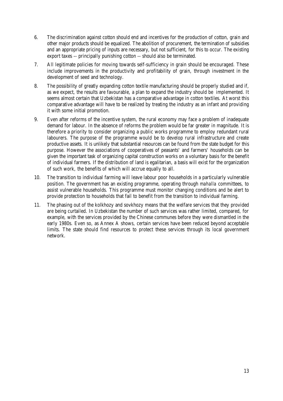- 6. The discrimination against cotton should end and incentives for the production of cotton, grain and other major products should be equalized. The abolition of procurement, the termination of subsidies and an appropriate pricing of inputs are necessary, but not sufficient, for this to occur. The existing export taxes -- principally punishing cotton -- should also be terminated.
- 7. All legitimate policies for moving towards self-sufficiency in grain should be encouraged. These include improvements in the productivity and profitability of grain, through investment in the development of seed and technology.
- 8. The possibility of greatly expanding cotton textile manufacturing should be properly studied and if, as we expect, the results are favourable, a plan to expand the industry should be implemented. It seems almost certain that Uzbekistan has a comparative advantage in cotton textiles. At worst this comparative advantage will have to be realized by treating the industry as an infant and providing it with some initial promotion.
- 9. Even after reforms of the incentive system, the rural economy may face a problem of inadequate demand for labour. In the absence of reforms the problem would be far greater in magnitude. It is therefore a priority to consider organizing a public works programme to employ redundant rural labourers. The purpose of the programme would be to develop rural infrastructure and create productive assets. It is unlikely that substantial resources can be found from the state budget for this purpose. However the associations of cooperatives of peasants' and farmers' households can be given the important task of organizing capital construction works on a voluntary basis for the benefit of individual farmers. If the distribution of land is egalitarian, a basis will exist for the organization of such work, the benefits of which will accrue equally to all.
- 10. The transition to individual farming will leave labour poor households in a particularly vulnerable position. The government has an existing programme, operating through *mahalla* committees, to assist vulnerable households. This programme must monitor changing conditions and be alert to provide protection to households that fail to benefit from the transition to individual farming.
- 11. The phasing out of the kolkhozy and sovkhozy means that the welfare services that they provided are being curtailed. In Uzbekistan the number of such services was rather limited, compared, for example, with the services provided by the Chinese communes before they were dismantled in the early 1980s. Even so, as Annex A shows, certain services have been reduced beyond acceptable limits. The state should find resources to protect these services through its local government network.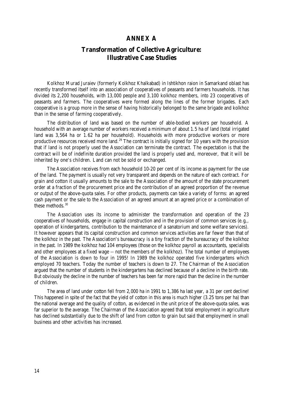#### **ANNEX A**

# **Transformation of Collective Agriculture: Illustrative Case Studies**

Kolkhoz Murad Juraiev (formerly Kolkhoz Khalkabad) in Ishtikhon raion in Samarkand oblast has recently transformed itself into an association of cooperatives of peasants and farmers households. It has divided its 2,200 households, with 13,000 people and 3,100 kolkhoz members, into 23 cooperatives of peasants and farmers. The cooperatives were formed along the lines of the former brigades. Each cooperative is a group more in the sense of having historically belonged to the same brigade and kolkhoz than in the sense of farming cooperatively.

The distribution of land was based on the number of able-bodied workers per household. A household with an average number of workers received a minimum of about 1.5 ha of land (total irrigated land was 3,564 ha or 1.62 ha per household). Households with more productive workers or more productive resources received more land.<sup>29</sup> The contract is initially signed for 10 years with the provision that if land is not properly used the Association can terminate the contract. The expectation is that the contract will be of indefinite duration provided the land is properly used and, moreover, that it will be inherited by one's children. Land can not be sold or exchanged.

The Association receives from each household 10-20 per cent of its income as payment for the use of the land. The payment is usually not very transparent and depends on the nature of each contract. For grain and cotton it usually amounts to the sale to the Association of the amount of the state procurement order at a fraction of the procurement price and the contribution of an agreed proportion of the revenue or output of the above-quota sales. For other products, payments can take a variety of forms: an agreed cash payment or the sale to the Association of an agreed amount at an agreed price or a combination of these methods. $30$ 

The Association uses its income to administer the transformation and operation of the 23 cooperatives of households, engage in capital construction and in the provision of common services (e.g,, operation of kindergartens, contribution to the maintenance of a sanatorium and some welfare services). It however appears that its capital construction and common services activities are far fewer than that of the kolkhoz in the past. The Association's bureaucracy is a tiny fraction of the bureaucracy of the kolkhoz in the past. In 1989 the kolkhoz had 104 employees (those on the kolkhoz payroll as accountants, specialists and other employees at a fixed wage -- not the members of the kolkhoz). The total number of employees of the Association is down to four in 1995! In 1989 the kolkhoz operated five kindergartens which employed 70 teachers. Today the number of teachers is down to 27. The Chairman of the Association argued that the number of students in the kindergartens has declined because of a decline in the birth rate. But obviously the decline in the number of teachers has been far more rapid than the decline in the number of children.

The area of land under cotton fell from 2,000 ha in 1991 to 1,386 ha last year, a 31 per cent decline! This happened in spite of the fact that the yield of cotton in this area is much higher (3.25 tons per ha) than the national average and the quality of cotton, as evidenced in the unit price of the above-quota sales, was far superior to the average. The Chairman of the Association agreed that total employment in agriculture has declined substantially due to the shift of land from cotton to grain but said that employment in small business and other activities has increased.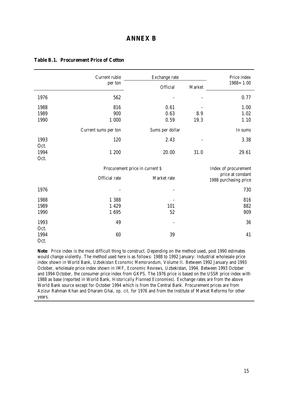## **ANNEX B**

|      | Current ruble                   | Exchange rate            |        | Price index                                |
|------|---------------------------------|--------------------------|--------|--------------------------------------------|
|      | per ton                         | Official                 | Market | $1988 = 1.00$                              |
| 1976 | 562                             |                          |        | 0.77                                       |
| 1988 | 816                             | 0.61                     |        | 1.00                                       |
| 1989 | 900                             | 0.63                     | 8.9    | 1.02                                       |
| 1990 | 1 000                           | 0.59                     | 19.3   | 1.10                                       |
|      | Current sums per ton            | Sums per dollar          |        | In sums                                    |
| 1993 | 120                             | 2.43                     |        | 3.38                                       |
| Oct. |                                 |                          |        |                                            |
| 1994 | 1 200                           | 20.00                    | 31.0   | 29.61                                      |
| Oct. |                                 |                          |        |                                            |
|      | Procurement price in current \$ |                          |        | Index of procurement                       |
|      | Official rate                   | Market rate              |        | price at constant<br>1988 purchasing price |
| 1976 |                                 |                          |        | 730                                        |
| 1988 | 1 3 8 8                         |                          |        | 816                                        |
| 1989 | 1 4 2 9                         | 101                      |        | 882                                        |
| 1990 | 1695                            | 52                       |        | 909                                        |
| 1993 | 49                              | $\overline{\phantom{0}}$ |        | 36                                         |
| Oct. |                                 |                          |        |                                            |
| 1994 | $60\,$                          | 39                       |        | 41                                         |
| Oct. |                                 |                          |        |                                            |

#### **Table B.1. Procurement Price of Cotton**

**Note**: Price index is the most difficult thing to construct. Depending on the method used, post 1990 estimates would change violently. The method used here is as follows: 1988 to 1992 January: Industrial wholesale price index shown in World Bank, *Uzbekistan Economic Memorandum*, Volume II. Between 1992 January and 1993 October, wholesale price index shown in IMF, *Economic Reviews,* Uzbekistan, 1994. Between 1993 October and 1994 October, the consumer price index from GKPS. The 1976 price is based on the USSR price index with 1988 as base (reported in World Bank, *Historically Planned Economies*). Exchange rates are from the above World Bank source except for October 1994 which is from the Central Bank. Procurement prices are from Azizur Rahman Khan and Dharam Ghai, *op. cit*. for 1976 and from the Institute of Market Reforms for other years.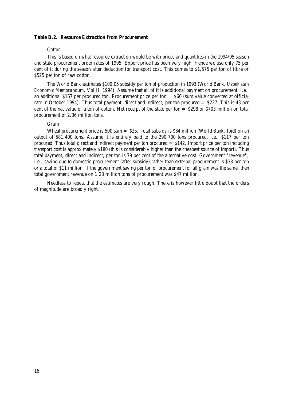#### **Table B.2. Resource Extraction from Procurement**

#### *Cotton*

This is based on what resource extraction would be with prices and quantities in the 1994/95 season and state procurement order rates of 1995. Export price has been very high. Hence we use only 75 per cent of it during the season after deduction for transport cost. This comes to \$1,575 per ton of fibre or \$525 per ton of raw cotton.

The World Bank estimates \$100.05 subsidy per ton of production in 1993 (World Bank, *Uzbekistan Economic Memorandum*, Vol.II, 1994). Assume that all of it is additional payment on procurement, i.e., an additional \$167 per procured ton. Procurement price per ton = \$60 (sum value converted at official rate in October 1994). Thus total payment, direct and indirect, per ton procured = \$227. This is 43 per cent of the net value of a ton of cotton. Net receipt of the state per ton = \$298 or \$703 million on total procurement of 2.36 million tons.

#### *Grain*

Wheat procurement price is 500 sum  $=$  \$25. Total subsidy is \$34 million (World Bank, Ibid) on an output of 581,400 tons. Assume it is entirely paid to the 290,700 tons procured, i.e., \$117 per ton procured. Thus total direct and indirect payment per ton procured = \$142. Import price per ton including transport cost is approximately \$180 (this is considerably higher than the cheapest source of import). Thus total payment, direct and indirect, per ton is 79 per cent of the alternative cost. Government "revenue", i.e., saving due to domestic procurement (after subsidy) rather than external procurement is \$38 per ton or a total of \$11 million. If the government saving per ton of procurement for all grain was the same, then total government revenue on 1.23 million tons of procurement was \$47 million.

Needless to repeat that the estimates are very rough. There is however little doubt that the orders of magnitude are broadly right.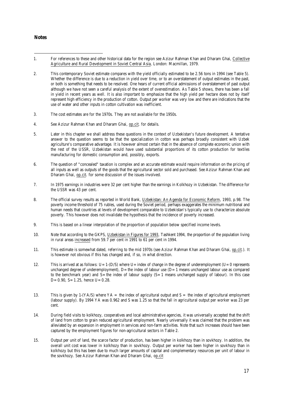#### **Notes**

- $\overline{a}$ 1. For references to these and other historical data for the region see Azizur Rahman Khan and Dharam Ghai, Collective Agriculture and Rural Development in Soviet Central Asia, London: Macmillan, 1979.
- 2. This contemporary Soviet estimate compares with the yield officially estimated to be 2.56 tons in 1994 (see Table 5). Whether the difference is due to a reduction in yield over time, or to an overstatement of output estimates in the past, or both is something that needs to be resolved. One hears of current official admissions of overstatement of past output although we have not seen a careful analysis of the extent of overestimation. As Table 5 shows, there has been a fall in yield in recent years as well. It is also important to emphasize that the high yield per hectare does not by itself represent high efficiency in the production of cotton. Output per worker was very low and there are indications that the use of water and other inputs in cotton cultivation was inefficient.
- 3. The cost estimates are for the 1970s. They are not available for the 1950s.
- 4. See Azizur Rahman Khan and Dharam Ghai, op.cit. for details.
- 5. Later in this chapter we shall address these questions in the context of Uzbekistan's future development. A tentative answer to the question seems to be that the specialization in cotton was perhaps broadly consistent with Uzbek agriculture's comparative advantage. It is however almost certain that in the absence of complete economic union with the rest of the USSR, Uzbekistan would have used substantial proportions of its cotton production for textiles manufacturing for domestic consumption and, possibly, exports.
- 6. The question of "concealed" taxation is complex and an accurate estimate would require information on the pricing of all inputs as well as outputs of the goods that the agricultural sector sold and purchased. See Azizur Rahman Khan and Dharam Ghai, op.cit. for some discussion of the issues involved.
- 7. In 1975 earnings in industries were 32 per cent higher than the earnings in Kolkhozy in Uzbekistan. The difference for the USSR was 43 per cent.
- 8. The official survey results as reported in World Bank, Uzbekistan: An Agenda for Economic Reform, 1993, p.98. The poverty income threshold of 75 rubles, used during the Soviet period, perhaps exaggerates the minimum nutritional and human needs that countries at levels of development comparable to Uzbekistan's typically use to characterize absolute poverty. This however does not invalidate the hypothesis that the incidence of poverty increased.
- 9. This is based on a linear interpolation of the proportion of population below specified income levels.
- 10. Note that according to the GKPS, Uzbekistan in Figures for 1993, Tashkent 1994, the proportion of the population living in rural areas increased from 59.7 per cent in 1991 to 61 per cent in 1994.
- 11. This estimate is somewhat dated, referring to the mid 1970s (see Azizur Rahman Khan and Dharam Ghai, op.cit.). It is however not obvious if this has changed and, if so, in what direction.
- 12. This is arrived at as follows:  $U=1$ -(D/S) where  $U=$  index of change in the degree of underemployment ( $U=0$  represents unchanged degree of underemployment),  $D=$  the index of labour use  $(D=1)$  means unchanged labour use as compared to the benchmark year) and  $S=$  the index of labour supply  $(S=1)$  means unchanged supply of labour). In this case  $D=0.90$ ,  $S=1.25$ , hence  $U=0.28$ .
- 13. This is given by 1-(YA/S) where  $YA =$  the index of agricultural output and  $S =$  the index of agricultural employment (labour supply). By 1994 YA was 0.962 and S was 1.25 so that the fall in agricultural output per worker was 23 per cent.
- 14. During field visits to kolkhozy, cooperatives and local administrative agencies, it was universally accepted that the shift of land from cotton to grain reduced agricultural employment. Nearly universally it was claimed that the problem was alleviated by an expansion in employment in services and non-farm activities. Note that such increases should have been captured by the employment figures for non-agricultural sectors in Table 2.
- 15. Output per unit of land, the scarce factor of production, has been higher in kolkhozy than in sovkhozy. In addition, the overall unit cost was lower in kolkhozy than in sovkhozy. Output per worker has been higher in sovkhozy than in kolkhozy but this has been due to much larger amounts of capital and complementary resources per unit of labour in the sovkhozy. See Azizur Rahman Khan and Dharam Ghai, op.cit